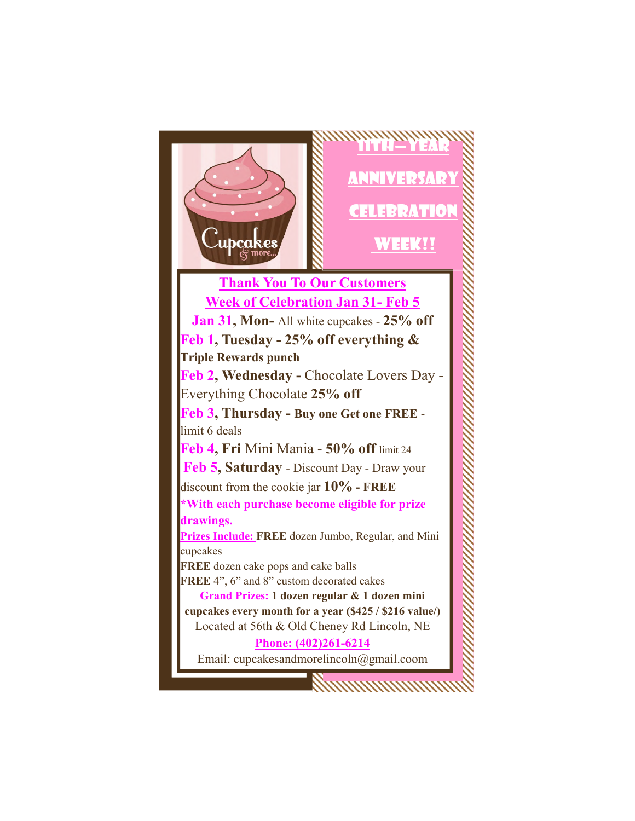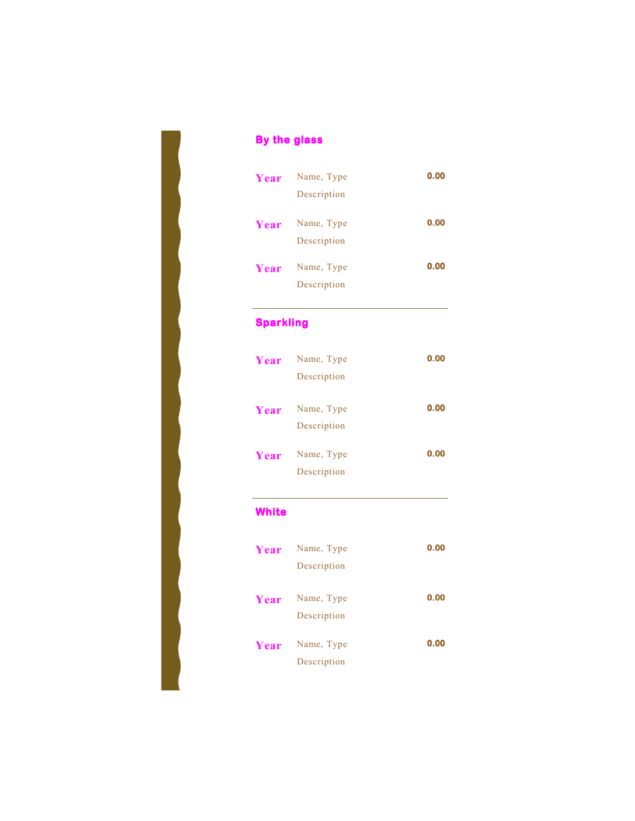| Year | Name, Type<br>Description | 0.00 |
|------|---------------------------|------|
| Year | Name, Type<br>Description | 0.00 |
| Year | Name, Type<br>Description | 0.00 |

## **Sparkling**

**By the glass** 

| Year | Name, Type                | 0.00 |
|------|---------------------------|------|
|      | Description               |      |
| Year | Name, Type<br>Description | 0.00 |
| Year | Name, Type<br>Description | 0.00 |

## **White**

| Year | Name, Type                | 0.00 |
|------|---------------------------|------|
|      | Description               |      |
| Year | Name, Type<br>Description | 0.00 |
| Year | Name, Type<br>Description | 0.00 |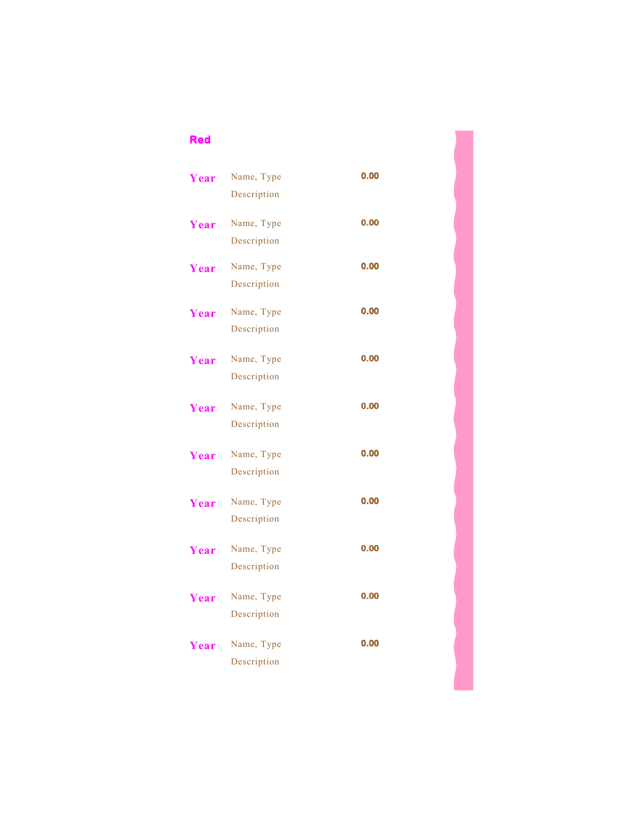## **Red**

| Year | Name, Type                | 0.00 |
|------|---------------------------|------|
|      | Description               |      |
| Year | Name, Type                | 0.00 |
|      | Description               |      |
| Year | Name, Type                | 0.00 |
|      | Description               |      |
| Year | Name, Type                | 0.00 |
|      | Description               |      |
| Year | Name, Type                | 0.00 |
|      | Description               |      |
| Year | Name, Type                | 0.00 |
|      | Description               |      |
| Year | Name, Type                | 0.00 |
|      | Description               |      |
|      |                           | 0.00 |
| Year | Name, Type<br>Description |      |
|      |                           |      |
| Year | Name, Type                | 0.00 |
|      | Description               |      |
| Year | Name, Type                | 0.00 |
|      | Description               |      |
| Year | Name, Type                | 0.00 |
|      | Description               |      |